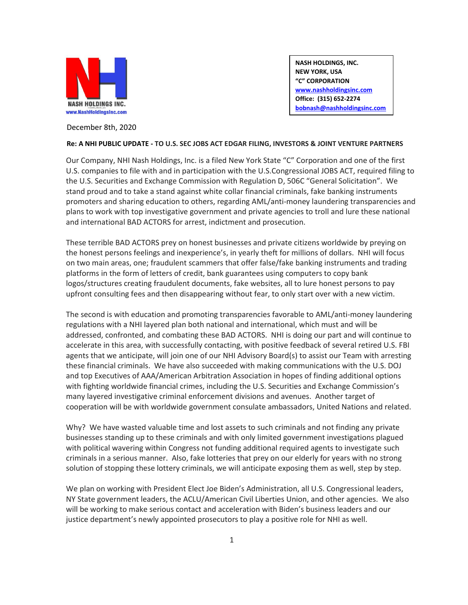

**NASH HOLDINGS, INC. NEW YORK, USA "C" CORPORATION [www.nashholdingsinc.com](http://www.nashholdingsinc.com/)  Office: (315) 652-2274 [bobnash@nashholdingsinc.com](mailto:bobnash@nashholdingsinc.com)**

December 8th, 2020

## **Re: A NHI PUBLIC UPDATE - TO U.S. SEC JOBS ACT EDGAR FILING, INVESTORS & JOINT VENTURE PARTNERS**

Our Company, NHI Nash Holdings, Inc. is a filed New York State "C" Corporation and one of the first U.S. companies to file with and in participation with the U.S.Congressional JOBS ACT, required filing to the U.S. Securities and Exchange Commission with Regulation D, 506C "General Solicitation". We stand proud and to take a stand against white collar financial criminals, fake banking instruments promoters and sharing education to others, regarding AML/anti-money laundering transparencies and plans to work with top investigative government and private agencies to troll and lure these national and international BAD ACTORS for arrest, indictment and prosecution.

These terrible BAD ACTORS prey on honest businesses and private citizens worldwide by preying on the honest persons feelings and inexperience's, in yearly theft for millions of dollars. NHI will focus on two main areas, one; fraudulent scammers that offer false/fake banking instruments and trading platforms in the form of letters of credit, bank guarantees using computers to copy bank logos/structures creating fraudulent documents, fake websites, all to lure honest persons to pay upfront consulting fees and then disappearing without fear, to only start over with a new victim.

The second is with education and promoting transparencies favorable to AML/anti-money laundering regulations with a NHI layered plan both national and international, which must and will be addressed, confronted, and combating these BAD ACTORS. NHI is doing our part and will continue to accelerate in this area, with successfully contacting, with positive feedback of several retired U.S. FBI agents that we anticipate, will join one of our NHI Advisory Board(s) to assist our Team with arresting these financial criminals. We have also succeeded with making communications with the U.S. DOJ and top Executives of AAA/American Arbitration Association in hopes of finding additional options with fighting worldwide financial crimes, including the U.S. Securities and Exchange Commission's many layered investigative criminal enforcement divisions and avenues. Another target of cooperation will be with worldwide government consulate ambassadors, United Nations and related.

Why? We have wasted valuable time and lost assets to such criminals and not finding any private businesses standing up to these criminals and with only limited government investigations plagued with political wavering within Congress not funding additional required agents to investigate such criminals in a serious manner. Also, fake lotteries that prey on our elderly for years with no strong solution of stopping these lottery criminals, we will anticipate exposing them as well, step by step.

We plan on working with President Elect Joe Biden's Administration, all U.S. Congressional leaders, NY State government leaders, the ACLU/American Civil Liberties Union, and other agencies. We also will be working to make serious contact and acceleration with Biden's business leaders and our justice department's newly appointed prosecutors to play a positive role for NHI as well.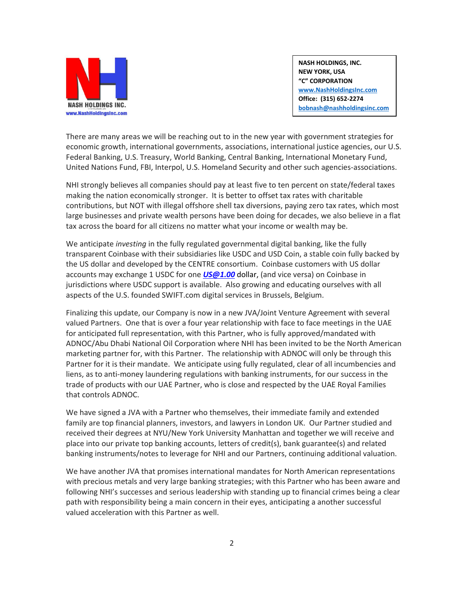

**NASH HOLDINGS, INC. NEW YORK, USA "C" CORPORATION [www.NashHoldingsInc.com](http://www.nashholdingsinc.com/)  Office: (315) 652-2274 [bobnash@nashholdingsinc.com](mailto:bobnash@nashholdingsinc.com)**

There are many areas we will be reaching out to in the new year with government strategies for economic growth, international governments, associations, international justice agencies, our U.S. Federal Banking, U.S. Treasury, World Banking, Central Banking, International Monetary Fund, United Nations Fund, FBI, Interpol, U.S. Homeland Security and other such agencies-associations.

NHI strongly believes all companies should pay at least five to ten percent on state/federal taxes making the nation economically stronger. It is better to offset tax rates with charitable contributions, but NOT with illegal offshore shell tax diversions, paying zero tax rates, which most large businesses and private wealth persons have been doing for decades, we also believe in a flat tax across the board for all citizens no matter what your income or wealth may be.

We anticipate *investing* in the fully regulated governmental digital banking, like the fully transparent Coinbase with their subsidiaries like USDC and USD Coin, a stable coin fully backed by the US dollar and developed by the CENTRE consortium. Coinbase customers with US dollar accounts may exchange 1 USDC for one *[US@1.00](mailto:US@1.00)* dollar, (and vice versa) on Coinbase in jurisdictions where USDC support is available. Also growing and educating ourselves with all aspects of the U.S. founded SWIFT.com digital services in Brussels, Belgium.

Finalizing this update, our Company is now in a new JVA/Joint Venture Agreement with several valued Partners. One that is over a four year relationship with face to face meetings in the UAE for anticipated full representation, with this Partner, who is fully approved/mandated with ADNOC/Abu Dhabi National Oil Corporation where NHI has been invited to be the North American marketing partner for, with this Partner. The relationship with ADNOC will only be through this Partner for it is their mandate. We anticipate using fully regulated, clear of all incumbencies and liens, as to anti-money laundering regulations with banking instruments, for our success in the trade of products with our UAE Partner, who is close and respected by the UAE Royal Families that controls ADNOC.

We have signed a JVA with a Partner who themselves, their immediate family and extended family are top financial planners, investors, and lawyers in London UK. Our Partner studied and received their degrees at NYU/New York University Manhattan and together we will receive and place into our private top banking accounts, letters of credit(s), bank guarantee(s) and related banking instruments/notes to leverage for NHI and our Partners, continuing additional valuation.

We have another JVA that promises international mandates for North American representations with precious metals and very large banking strategies; with this Partner who has been aware and following NHI's successes and serious leadership with standing up to financial crimes being a clear path with responsibility being a main concern in their eyes, anticipating a another successful valued acceleration with this Partner as well.